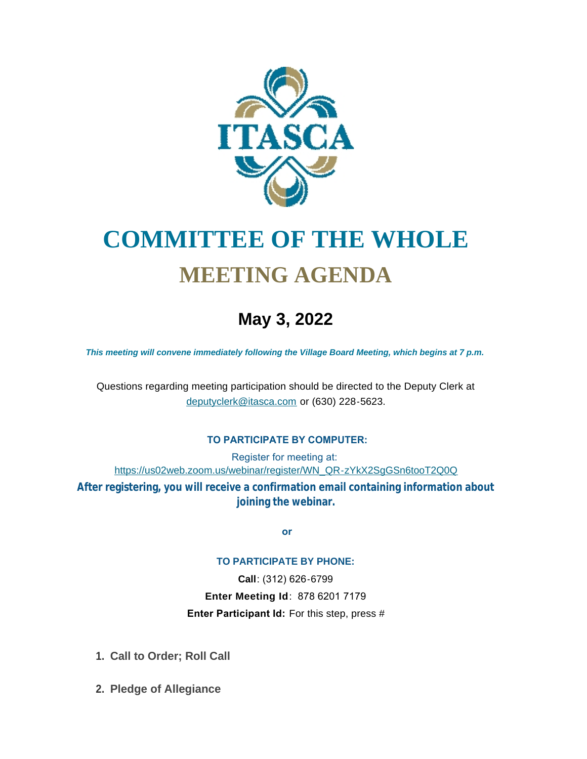

# **COMMITTEE OF THE WHOLE MEETING AGENDA**

## **May 3, 2022**

*This meeting will convene immediately following the Village Board Meeting, which begins at 7 p.m.*

[Questions regarding meeting participation sh](mailto:deputyclerk@itasca.com)ould be directed to the Deputy Clerk at deputyclerk@itasca.com or (630) 228-5623.

#### **TO PARTICIPATE BY COMPUTER:**

Register for meeting at: [https://us02web.zoom.us/webinar/register/WN\\_QR-zYkX2SgGSn6tooT2Q0Q](https://us02web.zoom.us/webinar/register/WN_QR-zYkX2SgGSn6tooT2Q0Q)

**After registering, you will receive a confirmation email containing information about joining the webinar.**

 **or**

#### **TO PARTICIPATE BY PHONE:**

**Call**: (312) 626-6799 **Enter Meeting Id**: 878 6201 7179 **Enter Participant Id:** For this step, press #

- **Call to Order; Roll Call 1.**
- **Pledge of Allegiance 2.**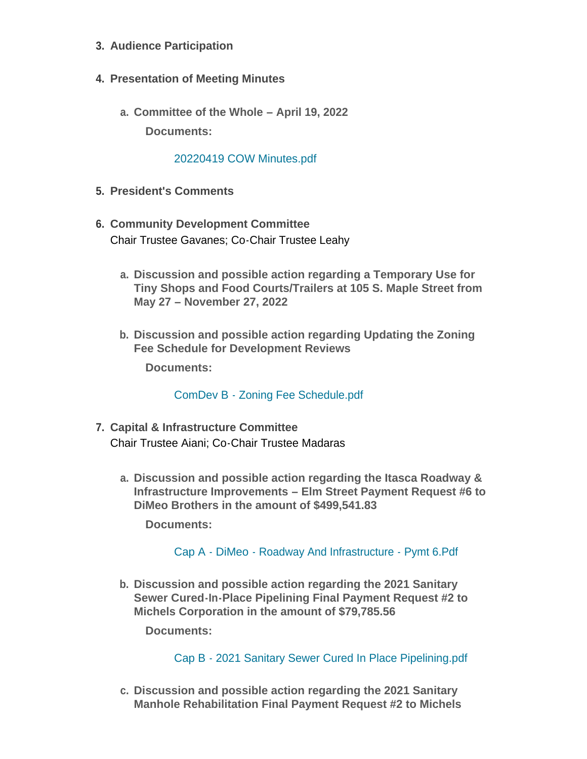- **Audience Participation 3.**
- **Presentation of Meeting Minutes 4.**
	- **Committee of the Whole – April 19, 2022 a.**

**Documents:**

### [20220419 COW Minutes.pdf](http://www.itasca.com/AgendaCenter/ViewFile/Item/7643?fileID=9475)

- **President's Comments 5.**
- **Community Development Committee 6.** Chair Trustee Gavanes; Co-Chair Trustee Leahy
	- **Discussion and possible action regarding a Temporary Use for a. Tiny Shops and Food Courts/Trailers at 105 S. Maple Street from May 27 – November 27, 2022**
	- **Discussion and possible action regarding Updating the Zoning b. Fee Schedule for Development Reviews**

**Documents:**

ComDev B - [Zoning Fee Schedule.pdf](http://www.itasca.com/AgendaCenter/ViewFile/Item/7644?fileID=9485)

- **Capital & Infrastructure Committee 7.** Chair Trustee Aiani; Co-Chair Trustee Madaras
	- **Discussion and possible action regarding the Itasca Roadway & a. Infrastructure Improvements – Elm Street Payment Request #6 to DiMeo Brothers in the amount of \$499,541.83**

**Documents:**

Cap A - DiMeo - [Roadway And Infrastructure -](http://www.itasca.com/AgendaCenter/ViewFile/Item/7646?fileID=9477) Pymt 6.Pdf

**Discussion and possible action regarding the 2021 Sanitary b. Sewer Cured-In-Place Pipelining Final Payment Request #2 to Michels Corporation in the amount of \$79,785.56**

**Documents:**

Cap B - [2021 Sanitary Sewer Cured In Place Pipelining.pdf](http://www.itasca.com/AgendaCenter/ViewFile/Item/7647?fileID=9478)

**Discussion and possible action regarding the 2021 Sanitary c. Manhole Rehabilitation Final Payment Request #2 to Michels**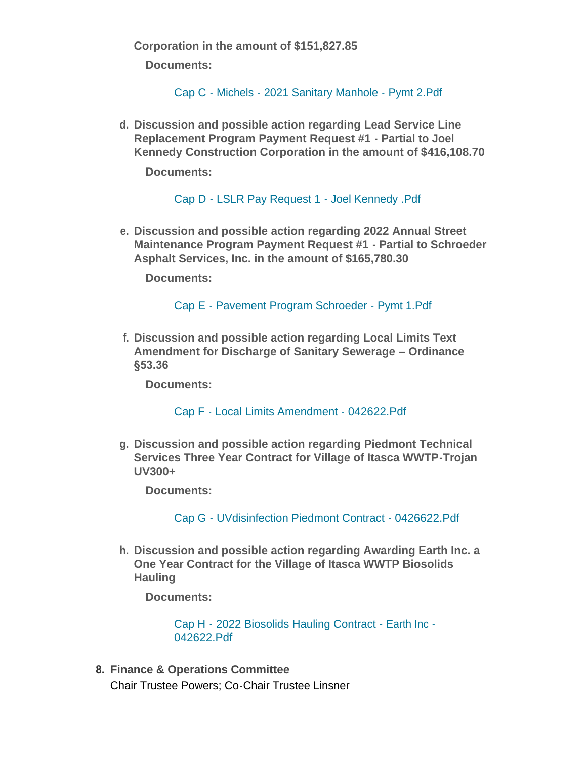**Manhole Rehabilitation Final Payment Request #2 to Michels Corporation in the amount of \$151,827.85**

**Documents:**

Cap C - Michels - [2021 Sanitary Manhole -](http://www.itasca.com/AgendaCenter/ViewFile/Item/7648?fileID=9479) Pymt 2.Pdf

**Discussion and possible action regarding Lead Service Line d. Replacement Program Payment Request #1 - Partial to Joel Kennedy Construction Corporation in the amount of \$416,108.70**

**Documents:**

Cap D - [LSLR Pay Request 1 -](http://www.itasca.com/AgendaCenter/ViewFile/Item/7649?fileID=9480) Joel Kennedy .Pdf

**Discussion and possible action regarding 2022 Annual Street e. Maintenance Program Payment Request #1 - Partial to Schroeder Asphalt Services, Inc. in the amount of \$165,780.30**

**Documents:**

Cap E - [Pavement Program Schroeder -](http://www.itasca.com/AgendaCenter/ViewFile/Item/7650?fileID=9481) Pymt 1.Pdf

**Discussion and possible action regarding Local Limits Text f. Amendment for Discharge of Sanitary Sewerage – Ordinance §53.36**

**Documents:**

Cap F - [Local Limits Amendment -](http://www.itasca.com/AgendaCenter/ViewFile/Item/7651?fileID=9482) 042622.Pdf

**Discussion and possible action regarding Piedmont Technical g. Services Three Year Contract for Village of Itasca WWTP-Trojan UV300+**

**Documents:**

Cap G - [UVdisinfection Piedmont Contract -](http://www.itasca.com/AgendaCenter/ViewFile/Item/7652?fileID=9483) 0426622.Pdf

**Discussion and possible action regarding Awarding Earth Inc. a h. One Year Contract for the Village of Itasca WWTP Biosolids Hauling**

**Documents:**

[Cap H - 2022 Biosolids Hauling Contract - Earth Inc -](http://www.itasca.com/AgendaCenter/ViewFile/Item/7653?fileID=9484) 042622.Pdf

**Finance & Operations Committee 8.** Chair Trustee Powers; Co-Chair Trustee Linsner